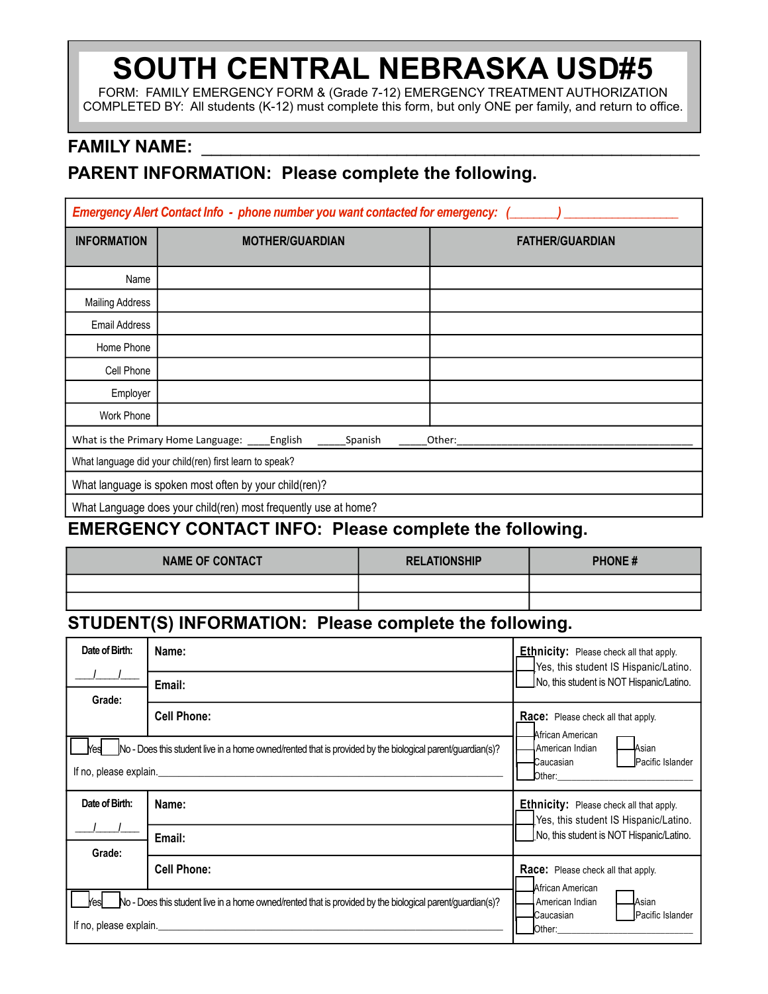# **SOUTH CENTRAL NEBRASKA USD#5**

FORM: FAMILY EMERGENCY FORM & (Grade 7-12) EMERGENCY TREATMENT AUTHORIZATION COMPLETED BY: All students (K-12) must complete this form, but only ONE per family, and return to office.

### **FAMILY NAME:**

## **PARENT INFORMATION: Please complete the following.**

| Emergency Alert Contact Info - phone number you want contacted for emergency: ( |                                                                 |                        |  |  |  |
|---------------------------------------------------------------------------------|-----------------------------------------------------------------|------------------------|--|--|--|
| <b>INFORMATION</b>                                                              | <b>MOTHER/GUARDIAN</b>                                          | <b>FATHER/GUARDIAN</b> |  |  |  |
| Name                                                                            |                                                                 |                        |  |  |  |
| <b>Mailing Address</b>                                                          |                                                                 |                        |  |  |  |
| <b>Email Address</b>                                                            |                                                                 |                        |  |  |  |
| Home Phone                                                                      |                                                                 |                        |  |  |  |
| Cell Phone                                                                      |                                                                 |                        |  |  |  |
| Employer                                                                        |                                                                 |                        |  |  |  |
| <b>Work Phone</b>                                                               |                                                                 |                        |  |  |  |
|                                                                                 | What is the Primary Home Language: ______ English<br>Spanish    | Other:                 |  |  |  |
|                                                                                 | What language did your child(ren) first learn to speak?         |                        |  |  |  |
|                                                                                 | What language is spoken most often by your child(ren)?          |                        |  |  |  |
|                                                                                 | What Language does your child(ren) most frequently use at home? |                        |  |  |  |

### **EMERGENCY CONTACT INFO: Please complete the following.**

| <b>NAME OF CONTACT</b> | <b>RELATIONSHIP</b> | <b>PHONE#</b> |
|------------------------|---------------------|---------------|
|                        |                     |               |
|                        |                     |               |

# **STUDENT(S) INFORMATION: Please complete the following.**

| Date of Birth:                                                                                               | Name:              | <b>Ethnicity:</b> Please check all that apply.<br>IYes, this student IS Hispanic/Latino. |
|--------------------------------------------------------------------------------------------------------------|--------------------|------------------------------------------------------------------------------------------|
| Grade:                                                                                                       | Email:             | No, this student is NOT Hispanic/Latino.                                                 |
|                                                                                                              | <b>Cell Phone:</b> | <b>Race:</b> Please check all that apply.<br>African American                            |
| $N$ o - Does this student live in a home owned/rented that is provided by the biological parent/guardian(s)? |                    | American Indian<br>Asian<br><b>C</b> aucasian<br>Pacific Islander<br>Other:              |
|                                                                                                              |                    |                                                                                          |
| Date of Birth:                                                                                               | Name:              | <b>Ethnicity:</b> Please check all that apply.<br>Yes, this student IS Hispanic/Latino.  |
|                                                                                                              | Email:             | No, this student is NOT Hispanic/Latino.                                                 |
| Grade:                                                                                                       | <b>Cell Phone:</b> | <b>Race:</b> Please check all that apply.<br>African American                            |